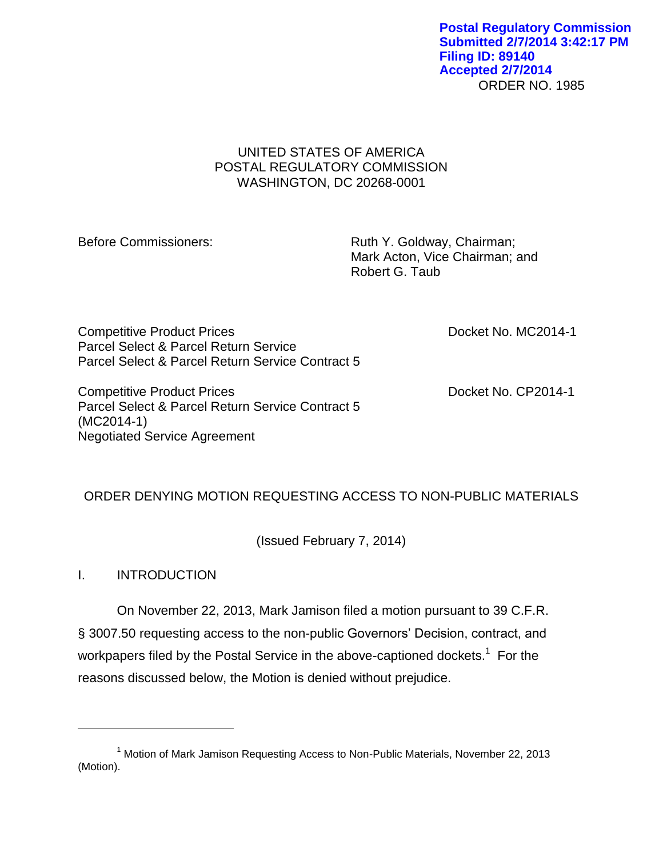ORDER NO. 1985 **Postal Regulatory Commission Submitted 2/7/2014 3:42:17 PM Filing ID: 89140 Accepted 2/7/2014**

### UNITED STATES OF AMERICA POSTAL REGULATORY COMMISSION WASHINGTON, DC 20268-0001

Before Commissioners: Ruth Y. Goldway, Chairman; Mark Acton, Vice Chairman; and Robert G. Taub

Competitive Product Prices **Docket No. MC2014-1** Parcel Select & Parcel Return Service Parcel Select & Parcel Return Service Contract 5

Competitive Product Prices **Docket No. CP2014-1** Parcel Select & Parcel Return Service Contract 5 (MC2014-1) Negotiated Service Agreement

# ORDER DENYING MOTION REQUESTING ACCESS TO NON-PUBLIC MATERIALS

(Issued February 7, 2014)

I. INTRODUCTION

 $\overline{a}$ 

On November 22, 2013, Mark Jamison filed a motion pursuant to 39 C.F.R. § 3007.50 requesting access to the non-public Governors' Decision, contract, and workpapers filed by the Postal Service in the above-captioned dockets.<sup>1</sup> For the reasons discussed below, the Motion is denied without prejudice.

<sup>&</sup>lt;sup>1</sup> Motion of Mark Jamison Requesting Access to Non-Public Materials, November 22, 2013 (Motion).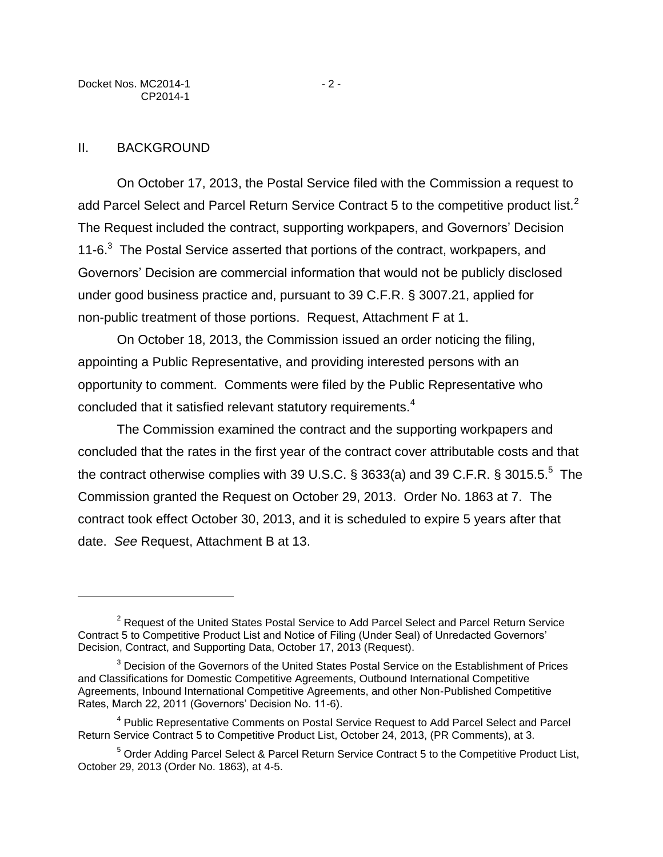$\overline{a}$ 

On October 17, 2013, the Postal Service filed with the Commission a request to add Parcel Select and Parcel Return Service Contract 5 to the competitive product list.<sup>2</sup> The Request included the contract, supporting workpapers, and Governors' Decision 11-6.<sup>3</sup> The Postal Service asserted that portions of the contract, workpapers, and Governors' Decision are commercial information that would not be publicly disclosed under good business practice and, pursuant to 39 C.F.R. § 3007.21, applied for non-public treatment of those portions. Request, Attachment F at 1.

On October 18, 2013, the Commission issued an order noticing the filing, appointing a Public Representative, and providing interested persons with an opportunity to comment. Comments were filed by the Public Representative who concluded that it satisfied relevant statutory requirements.<sup>4</sup>

The Commission examined the contract and the supporting workpapers and concluded that the rates in the first year of the contract cover attributable costs and that the contract otherwise complies with 39 U.S.C. § 3633(a) and 39 C.F.R. § 3015.5.<sup>5</sup> The Commission granted the Request on October 29, 2013. Order No. 1863 at 7. The contract took effect October 30, 2013, and it is scheduled to expire 5 years after that date. *See* Request, Attachment B at 13.

<sup>&</sup>lt;sup>2</sup> Request of the United States Postal Service to Add Parcel Select and Parcel Return Service Contract 5 to Competitive Product List and Notice of Filing (Under Seal) of Unredacted Governors' Decision, Contract, and Supporting Data, October 17, 2013 (Request).

 $3$  Decision of the Governors of the United States Postal Service on the Establishment of Prices and Classifications for Domestic Competitive Agreements, Outbound International Competitive Agreements, Inbound International Competitive Agreements, and other Non-Published Competitive Rates, March 22, 2011 (Governors' Decision No. 11-6).

<sup>&</sup>lt;sup>4</sup> Public Representative Comments on Postal Service Request to Add Parcel Select and Parcel Return Service Contract 5 to Competitive Product List, October 24, 2013, (PR Comments), at 3.

<sup>&</sup>lt;sup>5</sup> Order Adding Parcel Select & Parcel Return Service Contract 5 to the Competitive Product List, October 29, 2013 (Order No. 1863), at 4-5.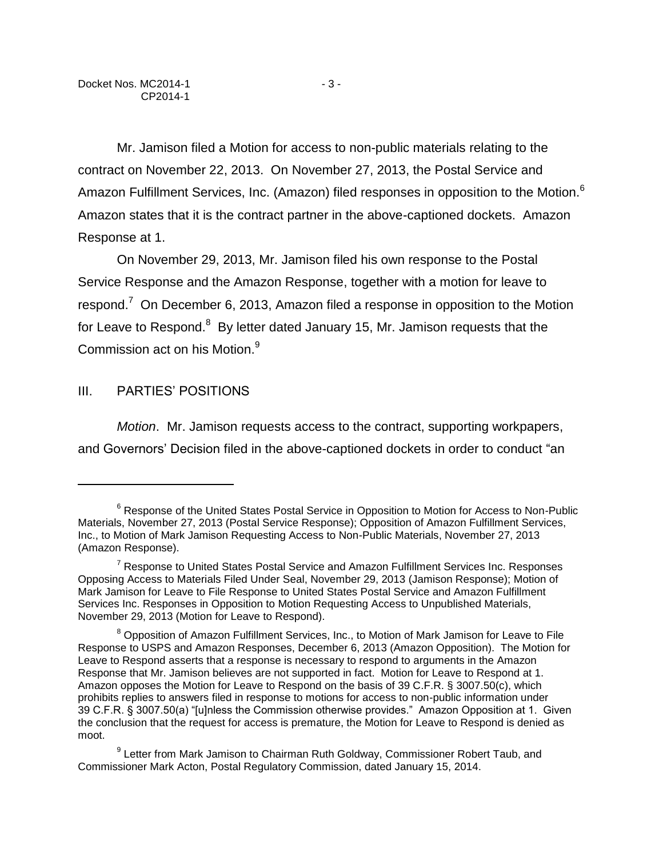Mr. Jamison filed a Motion for access to non-public materials relating to the contract on November 22, 2013. On November 27, 2013, the Postal Service and Amazon Fulfillment Services, Inc. (Amazon) filed responses in opposition to the Motion.<sup>6</sup> Amazon states that it is the contract partner in the above-captioned dockets. Amazon Response at 1.

On November 29, 2013, Mr. Jamison filed his own response to the Postal Service Response and the Amazon Response, together with a motion for leave to respond.<sup>7</sup> On December 6, 2013, Amazon filed a response in opposition to the Motion for Leave to Respond.<sup>8</sup> By letter dated January 15, Mr. Jamison requests that the Commission act on his Motion.<sup>9</sup>

### III. PARTIES' POSITIONS

 $\overline{a}$ 

*Motion*. Mr. Jamison requests access to the contract, supporting workpapers, and Governors' Decision filed in the above-captioned dockets in order to conduct "an

<sup>&</sup>lt;sup>6</sup> Response of the United States Postal Service in Opposition to Motion for Access to Non-Public Materials, November 27, 2013 (Postal Service Response); Opposition of Amazon Fulfillment Services, Inc., to Motion of Mark Jamison Requesting Access to Non-Public Materials, November 27, 2013 (Amazon Response).

<sup>&</sup>lt;sup>7</sup> Response to United States Postal Service and Amazon Fulfillment Services Inc. Responses Opposing Access to Materials Filed Under Seal, November 29, 2013 (Jamison Response); Motion of Mark Jamison for Leave to File Response to United States Postal Service and Amazon Fulfillment Services Inc. Responses in Opposition to Motion Requesting Access to Unpublished Materials, November 29, 2013 (Motion for Leave to Respond).

<sup>&</sup>lt;sup>8</sup> Opposition of Amazon Fulfillment Services, Inc., to Motion of Mark Jamison for Leave to File Response to USPS and Amazon Responses, December 6, 2013 (Amazon Opposition). The Motion for Leave to Respond asserts that a response is necessary to respond to arguments in the Amazon Response that Mr. Jamison believes are not supported in fact. Motion for Leave to Respond at 1. Amazon opposes the Motion for Leave to Respond on the basis of 39 C.F.R. § 3007.50(c), which prohibits replies to answers filed in response to motions for access to non-public information under 39 C.F.R. § 3007.50(a) "[u]nless the Commission otherwise provides." Amazon Opposition at 1. Given the conclusion that the request for access is premature, the Motion for Leave to Respond is denied as moot.

<sup>&</sup>lt;sup>9</sup> Letter from Mark Jamison to Chairman Ruth Goldway, Commissioner Robert Taub, and Commissioner Mark Acton, Postal Regulatory Commission, dated January 15, 2014.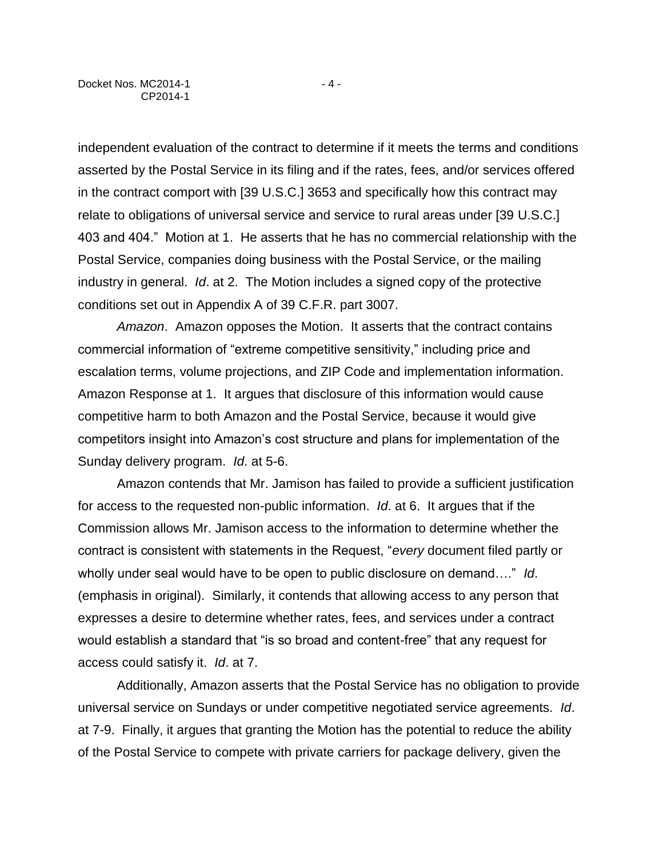independent evaluation of the contract to determine if it meets the terms and conditions asserted by the Postal Service in its filing and if the rates, fees, and/or services offered in the contract comport with [39 U.S.C.] 3653 and specifically how this contract may relate to obligations of universal service and service to rural areas under [39 U.S.C.] 403 and 404." Motion at 1. He asserts that he has no commercial relationship with the Postal Service, companies doing business with the Postal Service, or the mailing industry in general. *Id*. at 2. The Motion includes a signed copy of the protective conditions set out in Appendix A of 39 C.F.R. part 3007.

*Amazon*. Amazon opposes the Motion. It asserts that the contract contains commercial information of "extreme competitive sensitivity," including price and escalation terms, volume projections, and ZIP Code and implementation information. Amazon Response at 1. It argues that disclosure of this information would cause competitive harm to both Amazon and the Postal Service, because it would give competitors insight into Amazon's cost structure and plans for implementation of the Sunday delivery program. *Id*. at 5-6.

Amazon contends that Mr. Jamison has failed to provide a sufficient justification for access to the requested non-public information. *Id*. at 6. It argues that if the Commission allows Mr. Jamison access to the information to determine whether the contract is consistent with statements in the Request, "*every* document filed partly or wholly under seal would have to be open to public disclosure on demand…." *Id*. (emphasis in original). Similarly, it contends that allowing access to any person that expresses a desire to determine whether rates, fees, and services under a contract would establish a standard that "is so broad and content-free" that any request for access could satisfy it. *Id*. at 7.

Additionally, Amazon asserts that the Postal Service has no obligation to provide universal service on Sundays or under competitive negotiated service agreements. *Id*. at 7-9. Finally, it argues that granting the Motion has the potential to reduce the ability of the Postal Service to compete with private carriers for package delivery, given the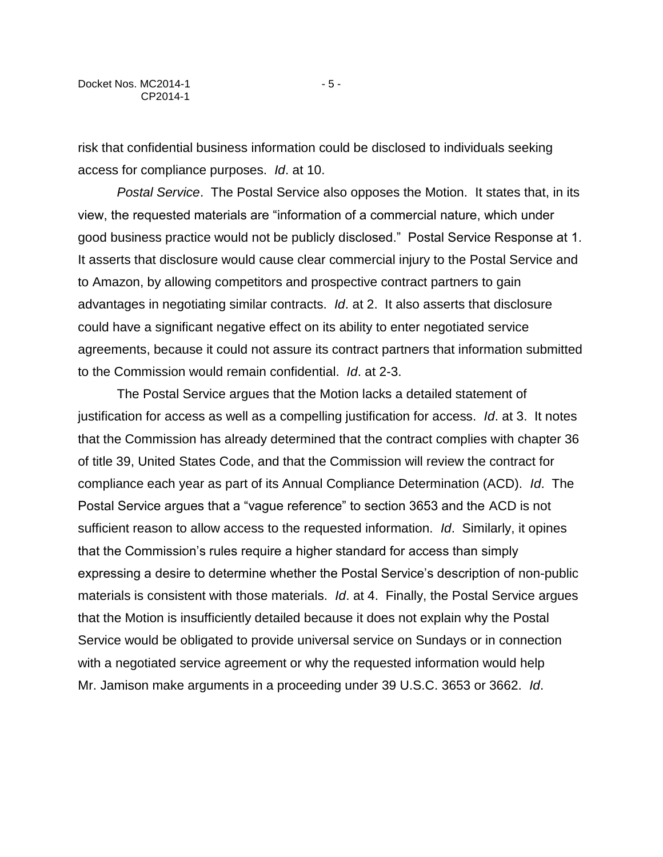risk that confidential business information could be disclosed to individuals seeking access for compliance purposes. *Id*. at 10.

*Postal Service*. The Postal Service also opposes the Motion. It states that, in its view, the requested materials are "information of a commercial nature, which under good business practice would not be publicly disclosed." Postal Service Response at 1. It asserts that disclosure would cause clear commercial injury to the Postal Service and to Amazon, by allowing competitors and prospective contract partners to gain advantages in negotiating similar contracts. *Id*. at 2. It also asserts that disclosure could have a significant negative effect on its ability to enter negotiated service agreements, because it could not assure its contract partners that information submitted to the Commission would remain confidential. *Id*. at 2-3.

The Postal Service argues that the Motion lacks a detailed statement of justification for access as well as a compelling justification for access. *Id*. at 3. It notes that the Commission has already determined that the contract complies with chapter 36 of title 39, United States Code, and that the Commission will review the contract for compliance each year as part of its Annual Compliance Determination (ACD). *Id*. The Postal Service argues that a "vague reference" to section 3653 and the ACD is not sufficient reason to allow access to the requested information. *Id*. Similarly, it opines that the Commission's rules require a higher standard for access than simply expressing a desire to determine whether the Postal Service's description of non-public materials is consistent with those materials. *Id*. at 4. Finally, the Postal Service argues that the Motion is insufficiently detailed because it does not explain why the Postal Service would be obligated to provide universal service on Sundays or in connection with a negotiated service agreement or why the requested information would help Mr. Jamison make arguments in a proceeding under 39 U.S.C. 3653 or 3662. *Id*.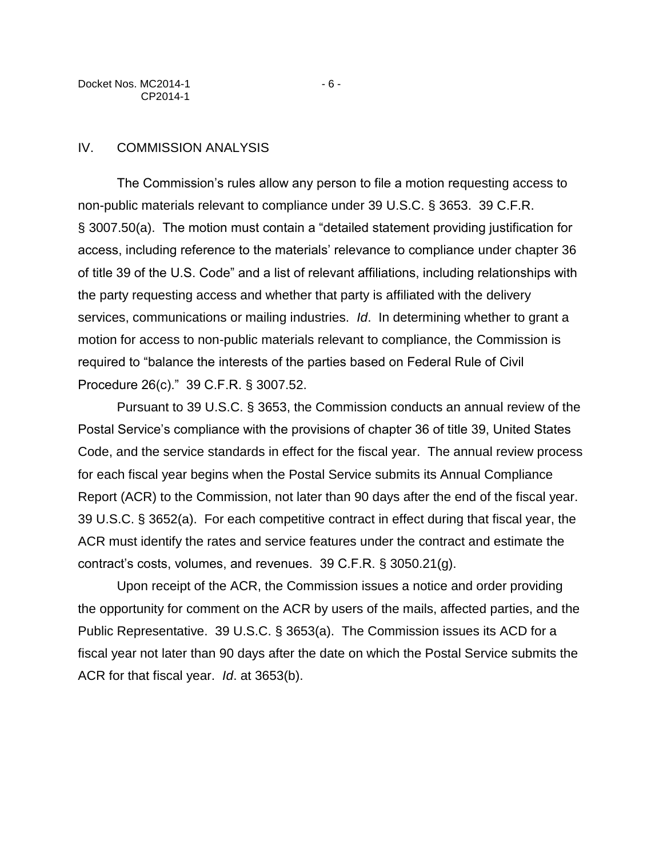Docket Nos. MC2014-1 - 6 -CP2014-1

The Commission's rules allow any person to file a motion requesting access to non-public materials relevant to compliance under 39 U.S.C. § 3653. 39 C.F.R. § 3007.50(a). The motion must contain a "detailed statement providing justification for access, including reference to the materials' relevance to compliance under chapter 36 of title 39 of the U.S. Code" and a list of relevant affiliations, including relationships with the party requesting access and whether that party is affiliated with the delivery services, communications or mailing industries. *Id*. In determining whether to grant a motion for access to non-public materials relevant to compliance, the Commission is required to "balance the interests of the parties based on Federal Rule of Civil Procedure 26(c)." 39 C.F.R. § 3007.52.

Pursuant to 39 U.S.C. § 3653, the Commission conducts an annual review of the Postal Service's compliance with the provisions of chapter 36 of title 39, United States Code, and the service standards in effect for the fiscal year. The annual review process for each fiscal year begins when the Postal Service submits its Annual Compliance Report (ACR) to the Commission, not later than 90 days after the end of the fiscal year. 39 U.S.C. § 3652(a). For each competitive contract in effect during that fiscal year, the ACR must identify the rates and service features under the contract and estimate the contract's costs, volumes, and revenues. 39 C.F.R. § 3050.21(g).

Upon receipt of the ACR, the Commission issues a notice and order providing the opportunity for comment on the ACR by users of the mails, affected parties, and the Public Representative. 39 U.S.C. § 3653(a). The Commission issues its ACD for a fiscal year not later than 90 days after the date on which the Postal Service submits the ACR for that fiscal year. *Id*. at 3653(b).